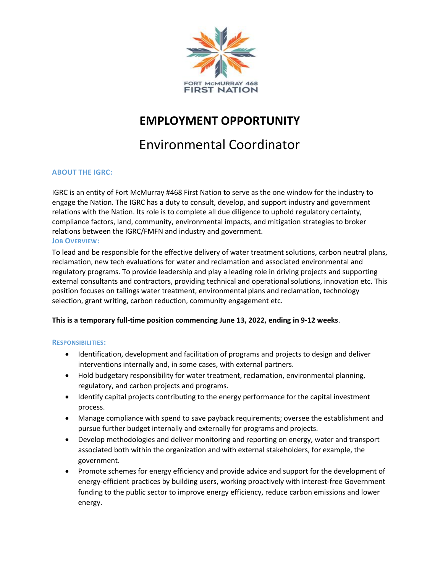

## **EMPLOYMENT OPPORTUNITY**

# Environmental Coordinator

## **ABOUT THE IGRC:**

IGRC is an entity of Fort McMurray #468 First Nation to serve as the one window for the industry to engage the Nation. The IGRC has a duty to consult, develop, and support industry and government relations with the Nation. Its role is to complete all due diligence to uphold regulatory certainty, compliance factors, land, community, environmental impacts, and mitigation strategies to broker relations between the IGRC/FMFN and industry and government. **JOB OVERVIEW:** 

To lead and be responsible for the effective delivery of water treatment solutions, carbon neutral plans, reclamation, new tech evaluations for water and reclamation and associated environmental and regulatory programs. To provide leadership and play a leading role in driving projects and supporting external consultants and contractors, providing technical and operational solutions, innovation etc. This position focuses on tailings water treatment, environmental plans and reclamation, technology selection, grant writing, carbon reduction, community engagement etc.

### **This is a temporary full-time position commencing June 13, 2022, ending in 9-12 weeks**.

### **RESPONSIBILITIES:**

- Identification, development and facilitation of programs and projects to design and deliver interventions internally and, in some cases, with external partners.
- Hold budgetary responsibility for water treatment, reclamation, environmental planning, regulatory, and carbon projects and programs.
- Identify capital projects contributing to the energy performance for the capital investment process.
- Manage compliance with spend to save payback requirements; oversee the establishment and pursue further budget internally and externally for programs and projects.
- Develop methodologies and deliver monitoring and reporting on energy, water and transport associated both within the organization and with external stakeholders, for example, the government.
- Promote schemes for energy efficiency and provide advice and support for the development of energy-efficient practices by building users, working proactively with interest-free Government funding to the public sector to improve energy efficiency, reduce carbon emissions and lower energy.